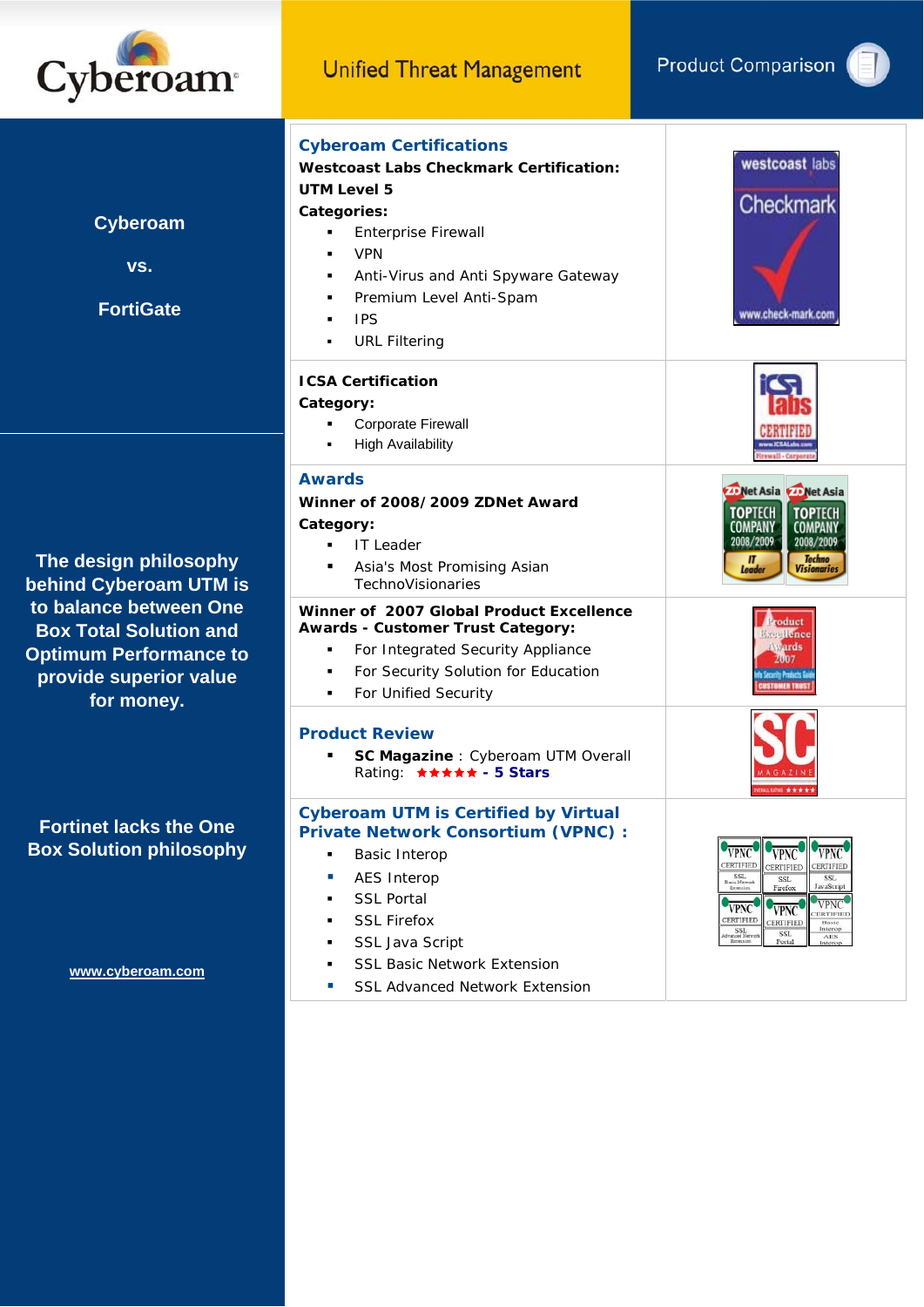



**Cyberoam** 

**vs.** 

**FortiGate** 

**The design philosophy behind Cyberoam UTM is to balance between One Box Total Solution and Optimum Performance to provide superior value for money.** 

**Fortinet lacks the One Box Solution philosophy** 

**www.cyberoam.com**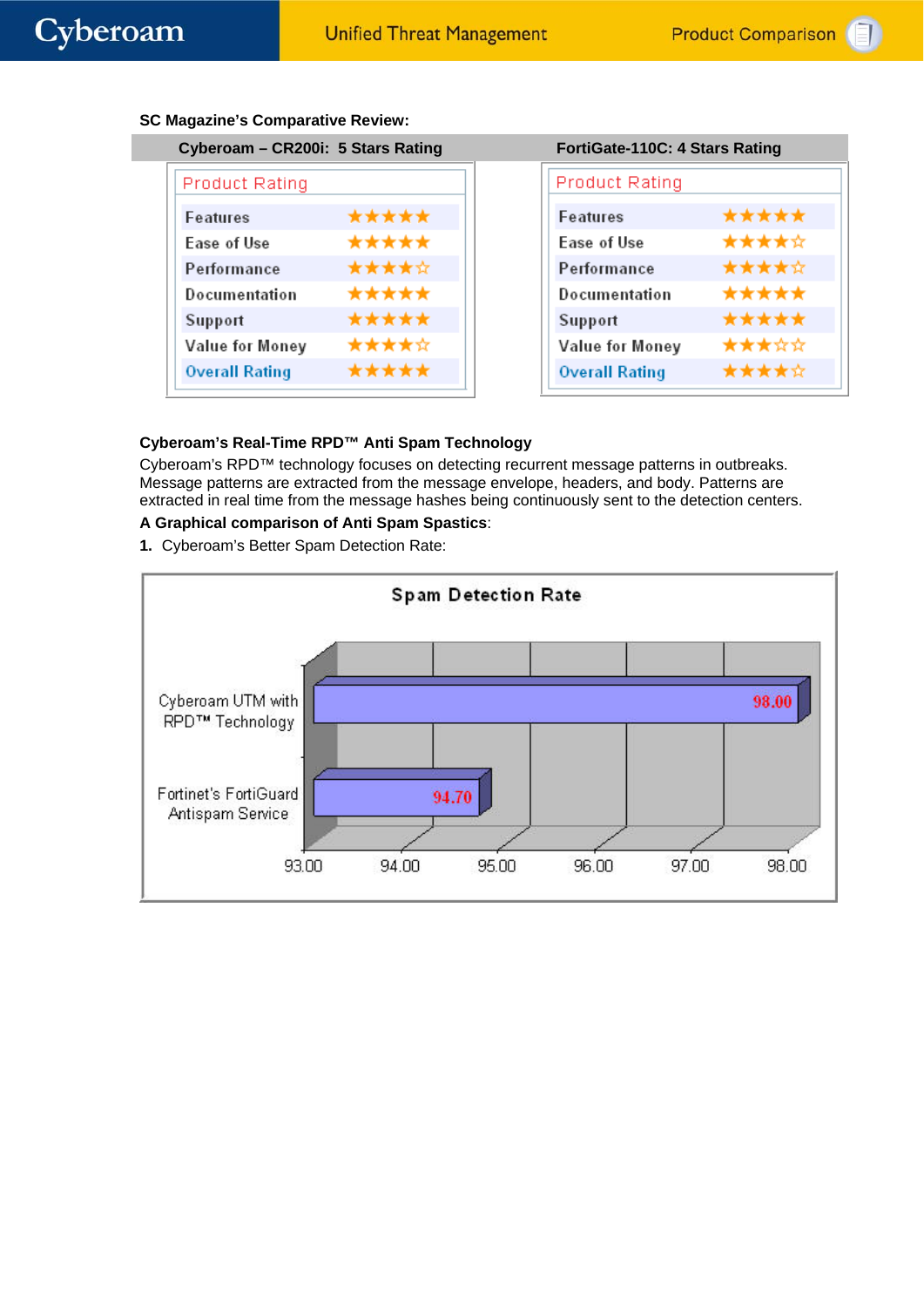| Cyberoam - CR200i: 5 Stars Rating |       | FortiGate-110C: 4 Stars Rating |      |
|-----------------------------------|-------|--------------------------------|------|
| <b>Product Rating</b>             |       | <b>Product Rating</b>          |      |
| <b>Features</b>                   | ***** | Features                       | **** |
| Ease of Use                       | ***** | Ease of Use                    | **** |
| Performance                       | ***** | Performance                    | **** |
| Documentation                     | ***** | Documentation                  | **** |
| Support                           | ***** | Support                        | **** |
| Value for Money                   | ***** | Value for Money                | **** |
| <b>Overall Rating</b>             | ***** | <b>Overall Rating</b>          | **** |
|                                   |       |                                |      |

|  |  | <b>SC Magazine's Comparative Review:</b> |  |
|--|--|------------------------------------------|--|
|--|--|------------------------------------------|--|

| FortiGate-110C: 4 Stars Rating |       |  |
|--------------------------------|-------|--|
| Product Rating                 |       |  |
| Features                       | ***** |  |
| Ease of Use                    | ***** |  |
| Performance                    | ***** |  |
| Documentation                  | ***** |  |
| Support                        | ***** |  |
| Value for Money                | ***** |  |
| <b>Overall Rating</b>          | ★★★★☆ |  |

# **Cyberoam's Real-Time RPD™ Anti Spam Technology**

Cyberoam's RPD™ technology focuses on detecting recurrent message patterns in outbreaks. Message patterns are extracted from the message envelope, headers, and body. Patterns are extracted in real time from the message hashes being continuously sent to the detection centers.

#### **A Graphical comparison of Anti Spam Spastics**:

**1.** Cyberoam's Better Spam Detection Rate:

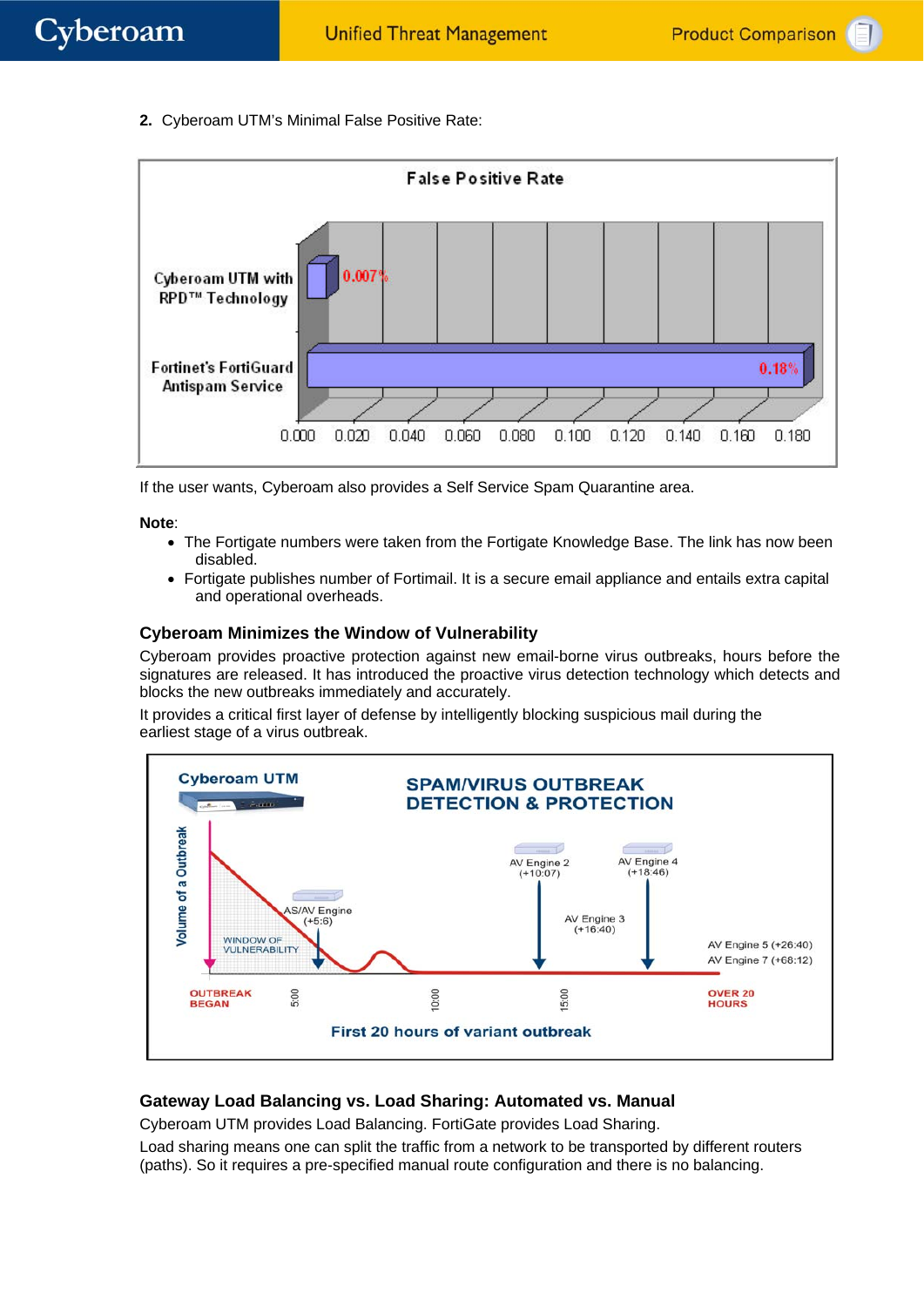**2.** Cyberoam UTM's Minimal False Positive Rate:



If the user wants, Cyberoam also provides a Self Service Spam Quarantine area.

#### **Note**:

- The Fortigate numbers were taken from the Fortigate Knowledge Base. The link has now been disabled.
- Fortigate publishes number of Fortimail. It is a secure email appliance and entails extra capital and operational overheads.

### **Cyberoam Minimizes the Window of Vulnerability**

Cyberoam provides proactive protection against new email-borne virus outbreaks, hours before the signatures are released. It has introduced the proactive virus detection technology which detects and blocks the new outbreaks immediately and accurately.

It provides a critical first layer of defense by intelligently blocking suspicious mail during the earliest stage of a virus outbreak.



# **Gateway Load Balancing vs. Load Sharing: Automated vs. Manual**

Cyberoam UTM provides Load Balancing. FortiGate provides Load Sharing.

Load sharing means one can split the traffic from a network to be transported by different routers (paths). So it requires a pre-specified manual route configuration and there is no balancing.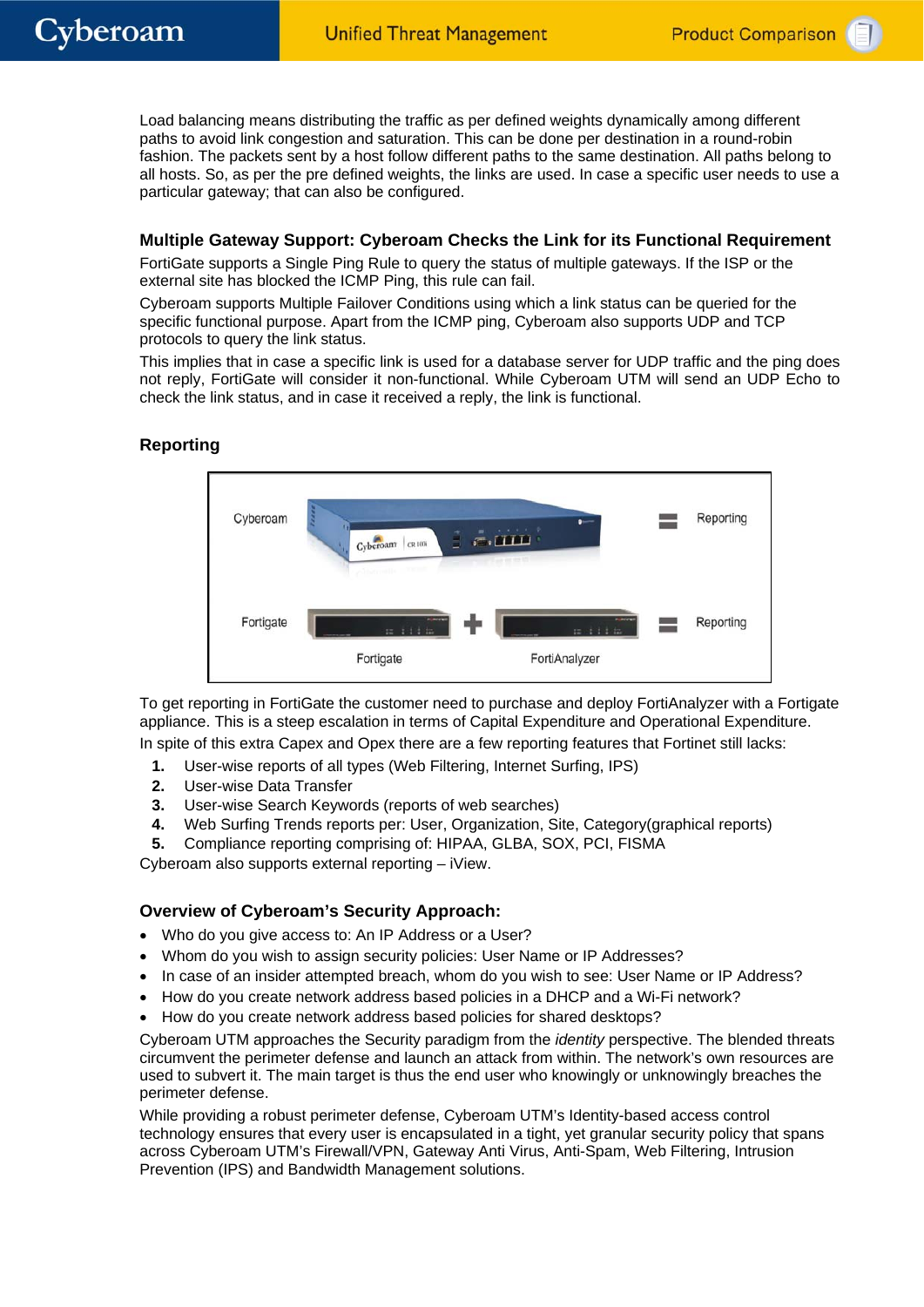Load balancing means distributing the traffic as per defined weights dynamically among different paths to avoid link congestion and saturation. This can be done per destination in a round-robin fashion. The packets sent by a host follow different paths to the same destination. All paths belong to all hosts. So, as per the pre defined weights, the links are used. In case a specific user needs to use a particular gateway; that can also be configured.

### **Multiple Gateway Support: Cyberoam Checks the Link for its Functional Requirement**

FortiGate supports a Single Ping Rule to query the status of multiple gateways. If the ISP or the external site has blocked the ICMP Ping, this rule can fail.

Cyberoam supports Multiple Failover Conditions using which a link status can be queried for the specific functional purpose. Apart from the ICMP ping, Cyberoam also supports UDP and TCP protocols to query the link status.

This implies that in case a specific link is used for a database server for UDP traffic and the ping does not reply, FortiGate will consider it non-functional. While Cyberoam UTM will send an UDP Echo to check the link status, and in case it received a reply, the link is functional.

# **Reporting**



To get reporting in FortiGate the customer need to purchase and deploy FortiAnalyzer with a Fortigate appliance. This is a steep escalation in terms of Capital Expenditure and Operational Expenditure.

In spite of this extra Capex and Opex there are a few reporting features that Fortinet still lacks:

- **1.** User-wise reports of all types (Web Filtering, Internet Surfing, IPS)
- **2.** User-wise Data Transfer
- **3.** User-wise Search Keywords (reports of web searches)
- **4.** Web Surfing Trends reports per: User, Organization, Site, Category(graphical reports)
- **5.** Compliance reporting comprising of: HIPAA, GLBA, SOX, PCI, FISMA

Cyberoam also supports external reporting – iView.

# **Overview of Cyberoam's Security Approach:**

- Who do you give access to: An IP Address or a User?
- Whom do you wish to assign security policies: User Name or IP Addresses?
- In case of an insider attempted breach, whom do you wish to see: User Name or IP Address?
- How do you create network address based policies in a DHCP and a Wi-Fi network?
- How do you create network address based policies for shared desktops?

Cyberoam UTM approaches the Security paradigm from the *identity* perspective. The blended threats circumvent the perimeter defense and launch an attack from within. The network's own resources are used to subvert it. The main target is thus the end user who knowingly or unknowingly breaches the perimeter defense.

While providing a robust perimeter defense, Cyberoam UTM's Identity-based access control technology ensures that every user is encapsulated in a tight, yet granular security policy that spans across Cyberoam UTM's Firewall/VPN, Gateway Anti Virus, Anti-Spam, Web Filtering, Intrusion Prevention (IPS) and Bandwidth Management solutions.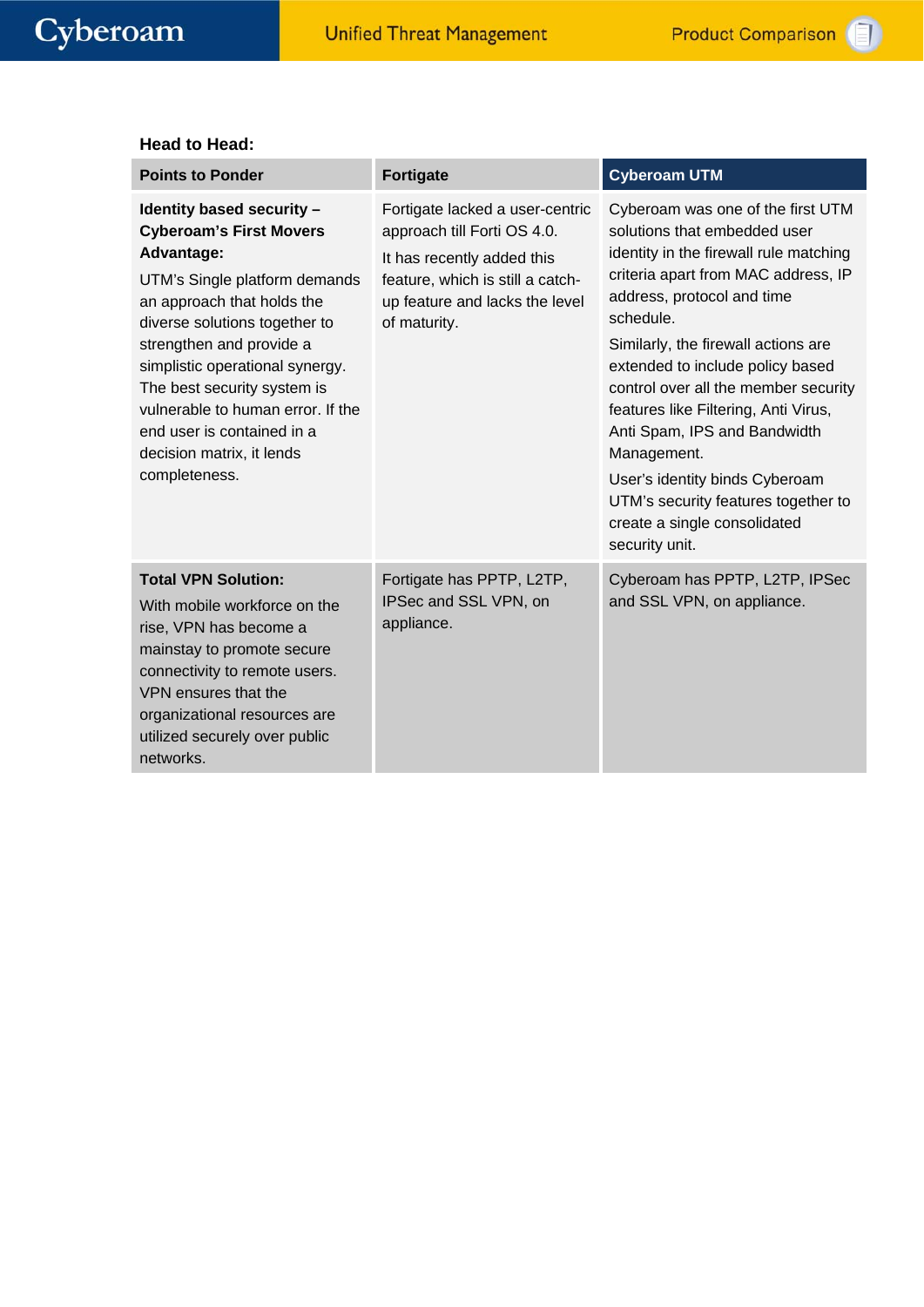#### **Head to Head:**

| <b>Points to Ponder</b>                                                                                                                                                                                                                                                                                                                                                                  | <b>Fortigate</b>                                                                                                                                                                   | <b>Cyberoam UTM</b>                                                                                                                                                                                                                                                                                                                                                                                                                                                                                                                |
|------------------------------------------------------------------------------------------------------------------------------------------------------------------------------------------------------------------------------------------------------------------------------------------------------------------------------------------------------------------------------------------|------------------------------------------------------------------------------------------------------------------------------------------------------------------------------------|------------------------------------------------------------------------------------------------------------------------------------------------------------------------------------------------------------------------------------------------------------------------------------------------------------------------------------------------------------------------------------------------------------------------------------------------------------------------------------------------------------------------------------|
| Identity based security -<br><b>Cyberoam's First Movers</b><br>Advantage:<br>UTM's Single platform demands<br>an approach that holds the<br>diverse solutions together to<br>strengthen and provide a<br>simplistic operational synergy.<br>The best security system is<br>vulnerable to human error. If the<br>end user is contained in a<br>decision matrix, it lends<br>completeness. | Fortigate lacked a user-centric<br>approach till Forti OS 4.0.<br>It has recently added this<br>feature, which is still a catch-<br>up feature and lacks the level<br>of maturity. | Cyberoam was one of the first UTM<br>solutions that embedded user<br>identity in the firewall rule matching<br>criteria apart from MAC address, IP<br>address, protocol and time<br>schedule.<br>Similarly, the firewall actions are<br>extended to include policy based<br>control over all the member security<br>features like Filtering, Anti Virus,<br>Anti Spam, IPS and Bandwidth<br>Management.<br>User's identity binds Cyberoam<br>UTM's security features together to<br>create a single consolidated<br>security unit. |
| <b>Total VPN Solution:</b><br>With mobile workforce on the<br>rise, VPN has become a<br>mainstay to promote secure<br>connectivity to remote users.<br>VPN ensures that the<br>organizational resources are<br>utilized securely over public<br>networks.                                                                                                                                | Fortigate has PPTP, L2TP,<br>IPSec and SSL VPN, on<br>appliance.                                                                                                                   | Cyberoam has PPTP, L2TP, IPSec<br>and SSL VPN, on appliance.                                                                                                                                                                                                                                                                                                                                                                                                                                                                       |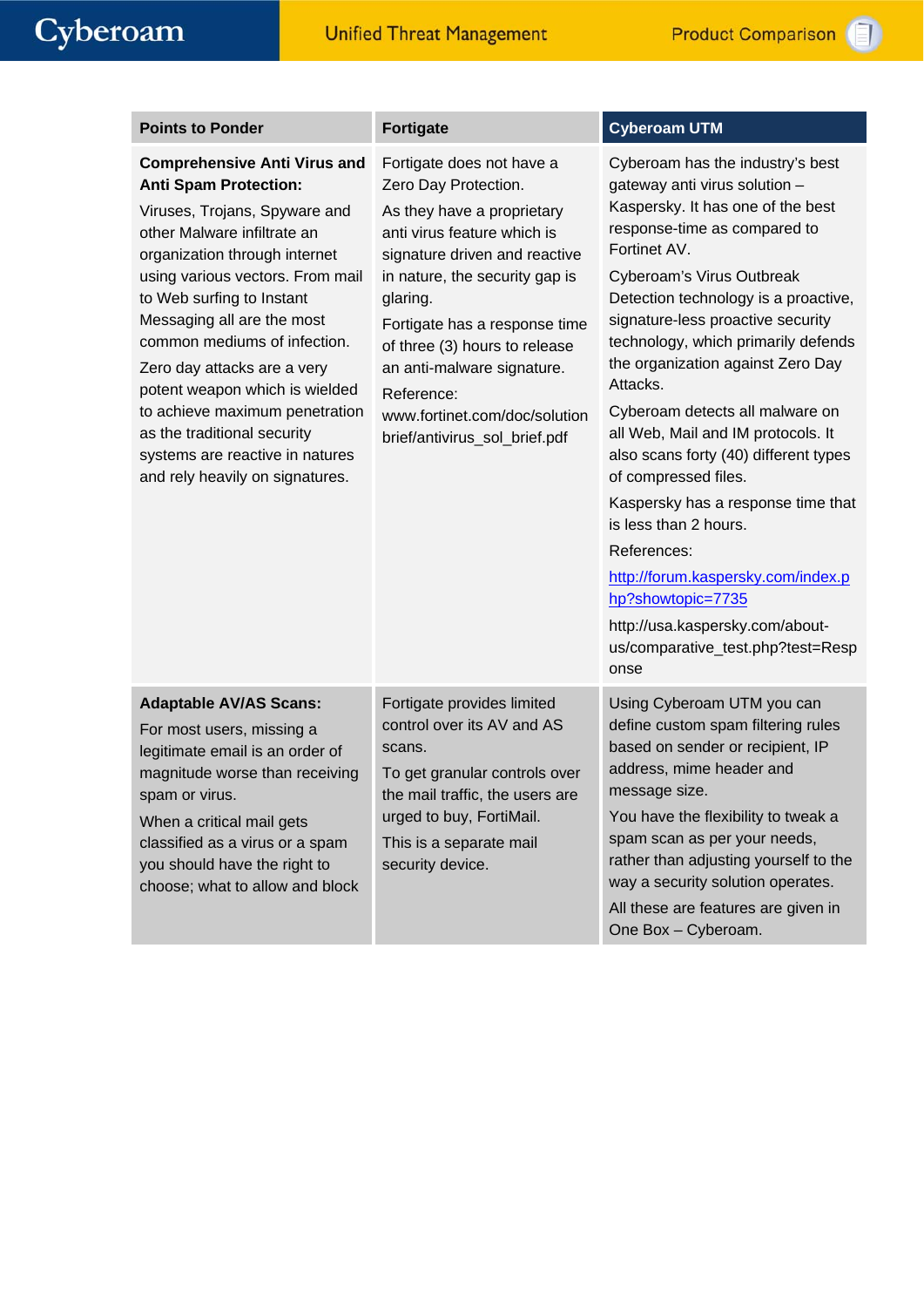| <b>Points to Ponder</b>                                                                                                                                                                                                                                                                                                                                                                                                                                                                                     | <b>Fortigate</b>                                                                                                                                                                                                                                                                                                                                                              | <b>Cyberoam UTM</b>                                                                                                                                                                                                                                                                                                                                                                                                                                                                                                                                                                                                                                                                                                         |
|-------------------------------------------------------------------------------------------------------------------------------------------------------------------------------------------------------------------------------------------------------------------------------------------------------------------------------------------------------------------------------------------------------------------------------------------------------------------------------------------------------------|-------------------------------------------------------------------------------------------------------------------------------------------------------------------------------------------------------------------------------------------------------------------------------------------------------------------------------------------------------------------------------|-----------------------------------------------------------------------------------------------------------------------------------------------------------------------------------------------------------------------------------------------------------------------------------------------------------------------------------------------------------------------------------------------------------------------------------------------------------------------------------------------------------------------------------------------------------------------------------------------------------------------------------------------------------------------------------------------------------------------------|
| <b>Comprehensive Anti Virus and</b><br><b>Anti Spam Protection:</b><br>Viruses, Trojans, Spyware and<br>other Malware infiltrate an<br>organization through internet<br>using various vectors. From mail<br>to Web surfing to Instant<br>Messaging all are the most<br>common mediums of infection.<br>Zero day attacks are a very<br>potent weapon which is wielded<br>to achieve maximum penetration<br>as the traditional security<br>systems are reactive in natures<br>and rely heavily on signatures. | Fortigate does not have a<br>Zero Day Protection.<br>As they have a proprietary<br>anti virus feature which is<br>signature driven and reactive<br>in nature, the security gap is<br>glaring.<br>Fortigate has a response time<br>of three (3) hours to release<br>an anti-malware signature.<br>Reference:<br>www.fortinet.com/doc/solution<br>brief/antivirus_sol_brief.pdf | Cyberoam has the industry's best<br>gateway anti virus solution -<br>Kaspersky. It has one of the best<br>response-time as compared to<br>Fortinet AV.<br>Cyberoam's Virus Outbreak<br>Detection technology is a proactive,<br>signature-less proactive security<br>technology, which primarily defends<br>the organization against Zero Day<br>Attacks.<br>Cyberoam detects all malware on<br>all Web, Mail and IM protocols. It<br>also scans forty (40) different types<br>of compressed files.<br>Kaspersky has a response time that<br>is less than 2 hours.<br>References:<br>http://forum.kaspersky.com/index.p<br>hp?showtopic=7735<br>http://usa.kaspersky.com/about-<br>us/comparative_test.php?test=Resp<br>onse |
| <b>Adaptable AV/AS Scans:</b><br>For most users, missing a<br>legitimate email is an order of<br>magnitude worse than receiving<br>spam or virus.<br>When a critical mail gets<br>classified as a virus or a spam<br>you should have the right to<br>choose; what to allow and block                                                                                                                                                                                                                        | Fortigate provides limited<br>control over its AV and AS<br>scans.<br>To get granular controls over<br>the mail traffic, the users are<br>urged to buy, FortiMail.<br>This is a separate mail<br>security device.                                                                                                                                                             | Using Cyberoam UTM you can<br>define custom spam filtering rules<br>based on sender or recipient, IP<br>address, mime header and<br>message size.<br>You have the flexibility to tweak a<br>spam scan as per your needs,<br>rather than adjusting yourself to the<br>way a security solution operates.<br>All these are features are given in<br>One Box - Cyberoam.                                                                                                                                                                                                                                                                                                                                                        |